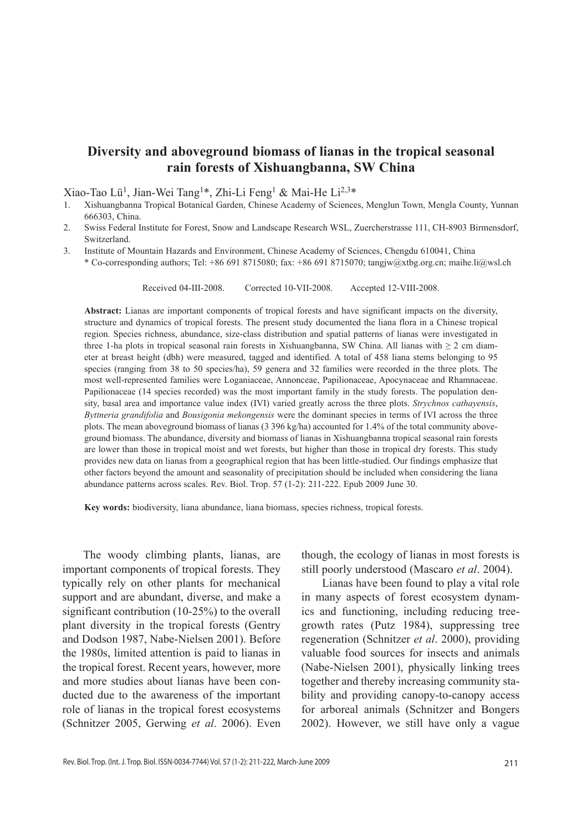# **Diversity and aboveground biomass of lianas in the tropical seasonal rain forests of Xishuangbanna, SW China**

Xiao-Tao Lü<sup>1</sup>, Jian-Wei Tang<sup>1\*</sup>, Zhi-Li Feng<sup>1</sup> & Mai-He Li<sup>2,3\*</sup>

- 1. Xishuangbanna Tropical Botanical Garden, Chinese Academy of Sciences, Menglun Town, Mengla County, Yunnan 666303, China.
- 2. Swiss Federal Institute for Forest, Snow and Landscape Research WSL, Zuercherstrasse 111, CH-8903 Birmensdorf, Switzerland.
- 3. Institute of Mountain Hazards and Environment, Chinese Academy of Sciences, Chengdu 610041, China
	- \* Co-corresponding authors; Tel: +86 691 8715080; fax: +86 691 8715070; tangjw@xtbg.org.cn; maihe.li@wsl.ch

Received 04-iii-2008. Corrected 10-vii-2008. Accepted 12-viii-2008.

**Abstract:** Lianas are important components of tropical forests and have significant impacts on the diversity, structure and dynamics of tropical forests. The present study documented the liana flora in a Chinese tropical region. Species richness, abundance, size-class distribution and spatial patterns of lianas were investigated in three 1-ha plots in tropical seasonal rain forests in Xishuangbanna, SW China. All lianas with  $\geq 2$  cm diameter at breast height (dbh) were measured, tagged and identified. A total of 458 liana stems belonging to 95 species (ranging from 38 to 50 species/ha), 59 genera and 32 families were recorded in the three plots. The most well-represented families were Loganiaceae, Annonceae, Papilionaceae, Apocynaceae and Rhamnaceae. Papilionaceae (14 species recorded) was the most important family in the study forests. The population density, basal area and importance value index (IVI) varied greatly across the three plots. *Strychnos cathayensis*, *Byttneria grandifolia* and *Bousigonia mekongensis* were the dominant species in terms of IVI across the three plots. The mean aboveground biomass of lianas (3 396 kg/ha) accounted for 1.4% of the total community aboveground biomass. The abundance, diversity and biomass of lianas in Xishuangbanna tropical seasonal rain forests are lower than those in tropical moist and wet forests, but higher than those in tropical dry forests. This study provides new data on lianas from a geographical region that has been little-studied. Our findings emphasize that other factors beyond the amount and seasonality of precipitation should be included when considering the liana abundance patterns across scales. Rev. Biol. Trop. 57 (1-2): 211-222. Epub 2009 June 30.

**Key words:** biodiversity, liana abundance, liana biomass, species richness, tropical forests.

The woody climbing plants, lianas, are important components of tropical forests. They typically rely on other plants for mechanical support and are abundant, diverse, and make a significant contribution (10-25%) to the overall plant diversity in the tropical forests (Gentry and Dodson 1987, Nabe-Nielsen 2001). Before the 1980s, limited attention is paid to lianas in the tropical forest. Recent years, however, more and more studies about lianas have been conducted due to the awareness of the important role of lianas in the tropical forest ecosystems (Schnitzer 2005, Gerwing *et al*. 2006). Even

though, the ecology of lianas in most forests is still poorly understood (Mascaro *et al*. 2004).

Lianas have been found to play a vital role in many aspects of forest ecosystem dynamics and functioning, including reducing treegrowth rates (Putz 1984), suppressing tree regeneration (Schnitzer *et al*. 2000), providing valuable food sources for insects and animals (Nabe-Nielsen 2001), physically linking trees together and thereby increasing community stability and providing canopy-to-canopy access for arboreal animals (Schnitzer and Bongers 2002). However, we still have only a vague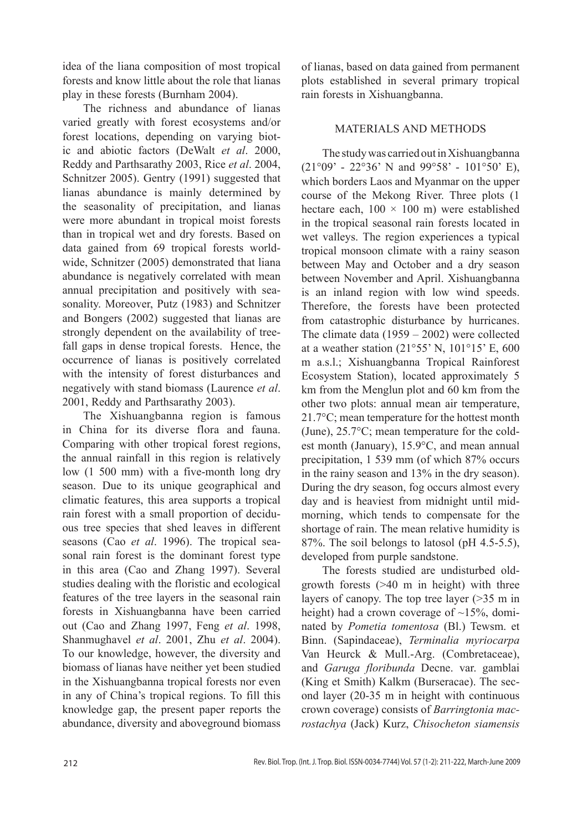idea of the liana composition of most tropical forests and know little about the role that lianas play in these forests (Burnham 2004).

The richness and abundance of lianas varied greatly with forest ecosystems and/or forest locations, depending on varying biotic and abiotic factors (DeWalt *et al*. 2000, Reddy and Parthsarathy 2003, Rice *et al*. 2004, Schnitzer 2005). Gentry (1991) suggested that lianas abundance is mainly determined by the seasonality of precipitation, and lianas were more abundant in tropical moist forests than in tropical wet and dry forests. Based on data gained from 69 tropical forests worldwide, Schnitzer (2005) demonstrated that liana abundance is negatively correlated with mean annual precipitation and positively with seasonality. Moreover, Putz (1983) and Schnitzer and Bongers (2002) suggested that lianas are strongly dependent on the availability of treefall gaps in dense tropical forests. Hence, the occurrence of lianas is positively correlated with the intensity of forest disturbances and negatively with stand biomass (Laurence *et al*. 2001, Reddy and Parthsarathy 2003).

The Xishuangbanna region is famous in China for its diverse flora and fauna. Comparing with other tropical forest regions, the annual rainfall in this region is relatively low (1 500 mm) with a five-month long dry season. Due to its unique geographical and climatic features, this area supports a tropical rain forest with a small proportion of deciduous tree species that shed leaves in different seasons (Cao *et al*. 1996). The tropical seasonal rain forest is the dominant forest type in this area (Cao and Zhang 1997). Several studies dealing with the floristic and ecological features of the tree layers in the seasonal rain forests in Xishuangbanna have been carried out (Cao and Zhang 1997, Feng *et al*. 1998, Shanmughavel *et al*. 2001, Zhu *et al*. 2004). To our knowledge, however, the diversity and biomass of lianas have neither yet been studied in the Xishuangbanna tropical forests nor even in any of China's tropical regions. To fill this knowledge gap, the present paper reports the abundance, diversity and aboveground biomass of lianas, based on data gained from permanent plots established in several primary tropical rain forests in Xishuangbanna.

## MATERIALS AND METHODS

The study was carried out in Xishuangbanna  $(21°09' - 22°36' N$  and  $99°58' - 101°50' E)$ , which borders Laos and Myanmar on the upper course of the Mekong River. Three plots (1 hectare each,  $100 \times 100$  m) were established in the tropical seasonal rain forests located in wet valleys. The region experiences a typical tropical monsoon climate with a rainy season between May and October and a dry season between November and April. Xishuangbanna is an inland region with low wind speeds. Therefore, the forests have been protected from catastrophic disturbance by hurricanes. The climate data (1959 – 2002) were collected at a weather station (21°55' N, 101°15' E, 600 m a.s.l.; Xishuangbanna Tropical Rainforest Ecosystem Station), located approximately 5 km from the Menglun plot and 60 km from the other two plots: annual mean air temperature, 21.7°C; mean temperature for the hottest month (June), 25.7°C; mean temperature for the coldest month (January), 15.9°C, and mean annual precipitation, 1 539 mm (of which 87% occurs in the rainy season and 13% in the dry season). During the dry season, fog occurs almost every day and is heaviest from midnight until midmorning, which tends to compensate for the shortage of rain. The mean relative humidity is 87%. The soil belongs to latosol (pH 4.5-5.5), developed from purple sandstone.

The forests studied are undisturbed oldgrowth forests (>40 m in height) with three layers of canopy. The top tree layer (>35 m in height) had a crown coverage of  $\sim$ 15%, dominated by *Pometia tomentosa* (Bl.) Tewsm. et Binn. (Sapindaceae), *Terminalia myriocarpa* Van Heurck & Mull.-Arg. (Combretaceae), and *Garuga floribunda* Decne. var. gamblai (King et Smith) Kalkm (Burseracae). The second layer (20-35 m in height with continuous crown coverage) consists of *Barringtonia macrostachya* (Jack) Kurz, *Chisocheton siamensis*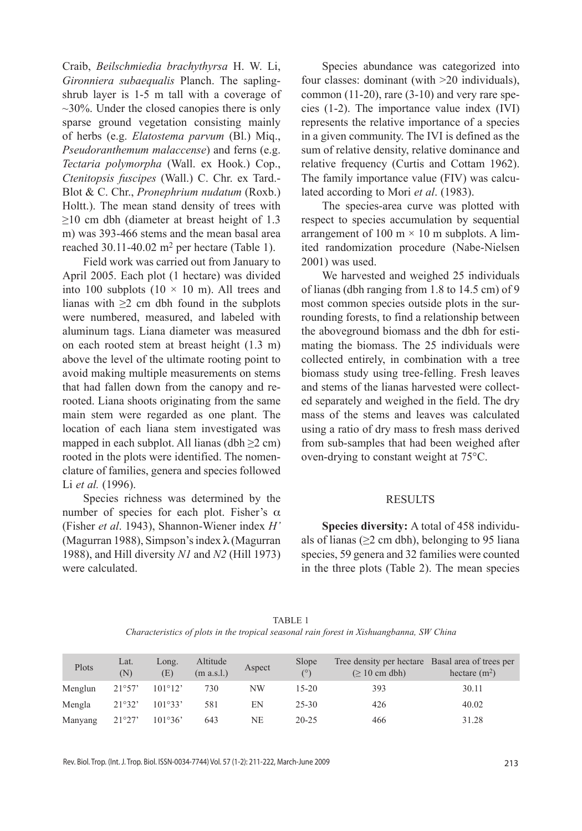Craib, *Beilschmiedia brachythyrsa* H. W. Li, *Gironniera subaequalis* Planch. The saplingshrub layer is 1-5 m tall with a coverage of  $\sim$ 30%. Under the closed canopies there is only sparse ground vegetation consisting mainly of herbs (e.g. *Elatostema parvum* (Bl.) Miq., *Pseudoranthemum malaccense*) and ferns (e.g. *Tectaria polymorpha* (Wall. ex Hook.) Cop., *Ctenitopsis fuscipes* (Wall.) C. Chr. ex Tard.- Blot & C. Chr., *Pronephrium nudatum* (Roxb.) Holtt.). The mean stand density of trees with  $\geq$ 10 cm dbh (diameter at breast height of 1.3 m) was 393-466 stems and the mean basal area reached  $30.11-40.02$  m<sup>2</sup> per hectare (Table 1).

Field work was carried out from January to April 2005. Each plot (1 hectare) was divided into 100 subplots  $(10 \times 10 \text{ m})$ . All trees and lianas with  $\geq 2$  cm dbh found in the subplots were numbered, measured, and labeled with aluminum tags. Liana diameter was measured on each rooted stem at breast height (1.3 m) above the level of the ultimate rooting point to avoid making multiple measurements on stems that had fallen down from the canopy and rerooted. Liana shoots originating from the same main stem were regarded as one plant. The location of each liana stem investigated was mapped in each subplot. All lianas (dbh  $\geq$ 2 cm) rooted in the plots were identified. The nomenclature of families, genera and species followed Li *et al.* (1996).

Species richness was determined by the number of species for each plot. Fisher's  $\alpha$ (Fisher *et al*. 1943), Shannon-Wiener index *H'* (Magurran 1988), Simpson's index λ (Magurran 1988), and Hill diversity *N1* and *N2* (Hill 1973) were calculated.

Species abundance was categorized into four classes: dominant (with >20 individuals), common (11-20), rare (3-10) and very rare species (1-2). The importance value index (IVI) represents the relative importance of a species in a given community. The IVI is defined as the sum of relative density, relative dominance and relative frequency (Curtis and Cottam 1962). The family importance value (FIV) was calculated according to Mori *et al*. (1983).

The species-area curve was plotted with respect to species accumulation by sequential arrangement of 100 m  $\times$  10 m subplots. A limited randomization procedure (Nabe-Nielsen 2001) was used.

We harvested and weighed 25 individuals of lianas (dbh ranging from 1.8 to 14.5 cm) of 9 most common species outside plots in the surrounding forests, to find a relationship between the aboveground biomass and the dbh for estimating the biomass. The 25 individuals were collected entirely, in combination with a tree biomass study using tree-felling. Fresh leaves and stems of the lianas harvested were collected separately and weighed in the field. The dry mass of the stems and leaves was calculated using a ratio of dry mass to fresh mass derived from sub-samples that had been weighed after oven-drying to constant weight at 75°C.

#### RESULTS

**Species diversity:** A total of 458 individuals of lianas ( $\geq$ 2 cm dbh), belonging to 95 liana species, 59 genera and 32 families were counted in the three plots (Table 2). The mean species

| TABLE 1                                                                                  |  |
|------------------------------------------------------------------------------------------|--|
| Characteristics of plots in the tropical seasonal rain forest in Xishuangbanna, SW China |  |

| Plots   | Lat.<br>(N) | Long.<br>(E)     | Altitude<br>(m a.s.l.) | Aspect    | Slope<br>$(^\circ)$ | Tree density per hectare Basal area of trees per<br>$\approx 10$ cm dbh) | hectare $(m2)$ |
|---------|-------------|------------------|------------------------|-----------|---------------------|--------------------------------------------------------------------------|----------------|
| Menglun | 21°57'      | $101^{\circ}12'$ | 730                    | <b>NW</b> | $15-20$             | 393                                                                      | 30.11          |
| Mengla  | 21°32'      | 101°33'          | 581                    | EN        | $25 - 30$           | 426                                                                      | 40.02          |
| Manyang | 21°27'      | 101°36'          | 643                    | NE        | 20-25               | 466                                                                      | 31.28          |

Rev. Biol. Trop. (Int. J. Trop. Biol. ISSN-0034-7744) Vol. 57 (1-2): 211-222, March-June 2009 213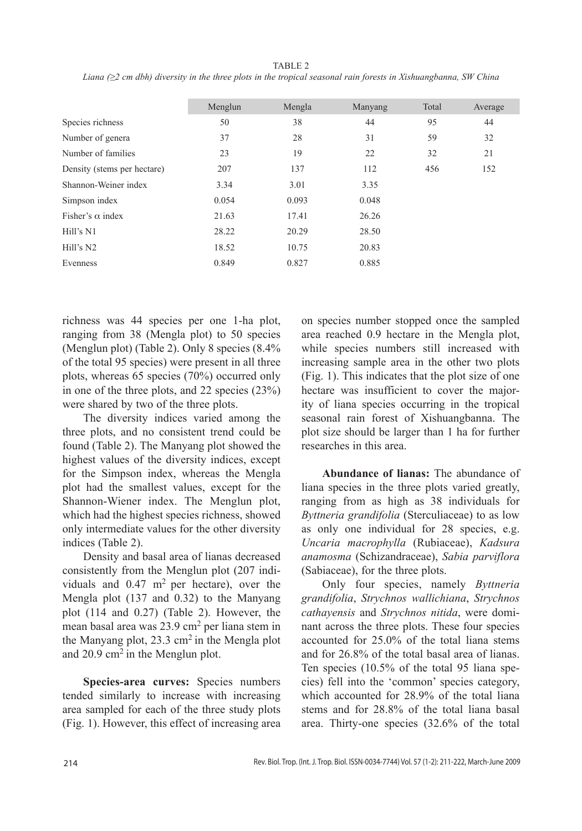|                             | Menglun | Mengla | Manyang | Total | Average |
|-----------------------------|---------|--------|---------|-------|---------|
| Species richness            | 50      | 38     | 44      | 95    | 44      |
| Number of genera            | 37      | 28     | 31      | 59    | 32      |
| Number of families          | 23      | 19     | 22      | 32    | 21      |
| Density (stems per hectare) | 207     | 137    | 112     | 456   | 152     |
| Shannon-Weiner index        | 3.34    | 3.01   | 3.35    |       |         |
| Simpson index               | 0.054   | 0.093  | 0.048   |       |         |
| Fisher's $\alpha$ index     | 21.63   | 17.41  | 26.26   |       |         |
| Hill's N1                   | 28.22   | 20.29  | 28.50   |       |         |
| Hill's N2                   | 18.52   | 10.75  | 20.83   |       |         |
| Evenness                    | 0.849   | 0.827  | 0.885   |       |         |
|                             |         |        |         |       |         |

TABLE 2 *Liana (≥2 cm dbh) diversity in the three plots in the tropical seasonal rain forests in Xishuangbanna, SW China*

richness was 44 species per one 1-ha plot, ranging from 38 (Mengla plot) to 50 species (Menglun plot) (Table 2). Only 8 species (8.4% of the total 95 species) were present in all three plots, whereas 65 species (70%) occurred only in one of the three plots, and 22 species (23%) were shared by two of the three plots.

The diversity indices varied among the three plots, and no consistent trend could be found (Table 2). The Manyang plot showed the highest values of the diversity indices, except for the Simpson index, whereas the Mengla plot had the smallest values, except for the Shannon-Wiener index. The Menglun plot, which had the highest species richness, showed only intermediate values for the other diversity indices (Table 2).

Density and basal area of lianas decreased consistently from the Menglun plot (207 individuals and 0.47 m<sup>2</sup> per hectare), over the Mengla plot (137 and 0.32) to the Manyang plot (114 and 0.27) (Table 2). However, the mean basal area was 23.9 cm2 per liana stem in the Manyang plot, 23.3 cm<sup>2</sup> in the Mengla plot and  $20.9 \text{ cm}^2$  in the Menglun plot.

**Species-area curves:** Species numbers tended similarly to increase with increasing area sampled for each of the three study plots (Fig. 1). However, this effect of increasing area on species number stopped once the sampled area reached 0.9 hectare in the Mengla plot, while species numbers still increased with increasing sample area in the other two plots (Fig. 1). This indicates that the plot size of one hectare was insufficient to cover the majority of liana species occurring in the tropical seasonal rain forest of Xishuangbanna. The plot size should be larger than 1 ha for further researches in this area.

**Abundance of lianas:** The abundance of liana species in the three plots varied greatly, ranging from as high as 38 individuals for *Byttneria grandifolia* (Sterculiaceae) to as low as only one individual for 28 species, e.g. *Uncaria macrophylla* (Rubiaceae), *Kadsura anamosma* (Schizandraceae), *Sabia parviflora*  (Sabiaceae), for the three plots.

Only four species, namely *Byttneria grandifolia*, *Strychnos wallichiana*, *Strychnos cathayensis* and *Strychnos nitida*, were dominant across the three plots. These four species accounted for 25.0% of the total liana stems and for 26.8% of the total basal area of lianas. Ten species (10.5% of the total 95 liana species) fell into the 'common' species category, which accounted for 28.9% of the total liana stems and for 28.8% of the total liana basal area. Thirty-one species (32.6% of the total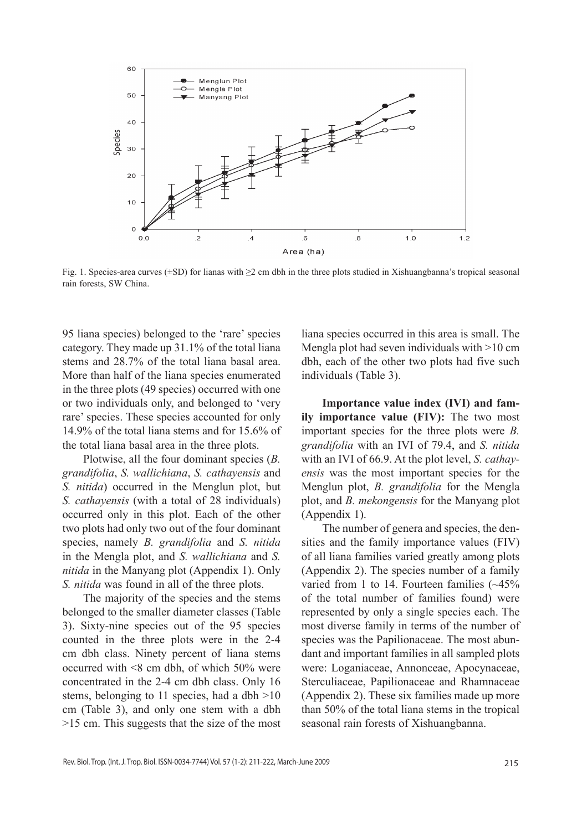

Fig. 1. Species-area curves (±SD) for lianas with ≥2 cm dbh in the three plots studied in Xishuangbanna's tropical seasonal rain forests, SW China.

95 liana species) belonged to the 'rare' species category. They made up 31.1% of the total liana stems and 28.7% of the total liana basal area. More than half of the liana species enumerated in the three plots (49 species) occurred with one or two individuals only, and belonged to 'very rare' species. These species accounted for only 14.9% of the total liana stems and for 15.6% of the total liana basal area in the three plots.

Plotwise, all the four dominant species (*B. grandifolia*, *S. wallichiana*, *S. cathayensis* and *S. nitida*) occurred in the Menglun plot, but *S. cathayensis* (with a total of 28 individuals) occurred only in this plot. Each of the other two plots had only two out of the four dominant species, namely *B. grandifolia* and *S. nitida* in the Mengla plot, and *S. wallichiana* and *S. nitida* in the Manyang plot (Appendix 1). Only *S. nitida* was found in all of the three plots.

The majority of the species and the stems belonged to the smaller diameter classes (Table 3). Sixty-nine species out of the 95 species counted in the three plots were in the 2-4 cm dbh class. Ninety percent of liana stems occurred with <8 cm dbh, of which 50% were concentrated in the 2-4 cm dbh class. Only 16 stems, belonging to 11 species, had a dbh >10 cm (Table 3), and only one stem with a dbh >15 cm. This suggests that the size of the most

liana species occurred in this area is small. The Mengla plot had seven individuals with >10 cm dbh, each of the other two plots had five such individuals (Table 3).

**Importance value index (IVI) and family importance value (FIV):** The two most important species for the three plots were *B. grandifolia* with an IVI of 79.4, and *S. nitida* with an IVI of 66.9. At the plot level, *S. cathayensis* was the most important species for the Menglun plot, *B. grandifolia* for the Mengla plot, and *B. mekongensis* for the Manyang plot (Appendix 1).

The number of genera and species, the densities and the family importance values (FIV) of all liana families varied greatly among plots (Appendix 2). The species number of a family varied from 1 to 14. Fourteen families (~45% of the total number of families found) were represented by only a single species each. The most diverse family in terms of the number of species was the Papilionaceae. The most abundant and important families in all sampled plots were: Loganiaceae, Annonceae, Apocynaceae, Sterculiaceae, Papilionaceae and Rhamnaceae (Appendix 2). These six families made up more than 50% of the total liana stems in the tropical seasonal rain forests of Xishuangbanna.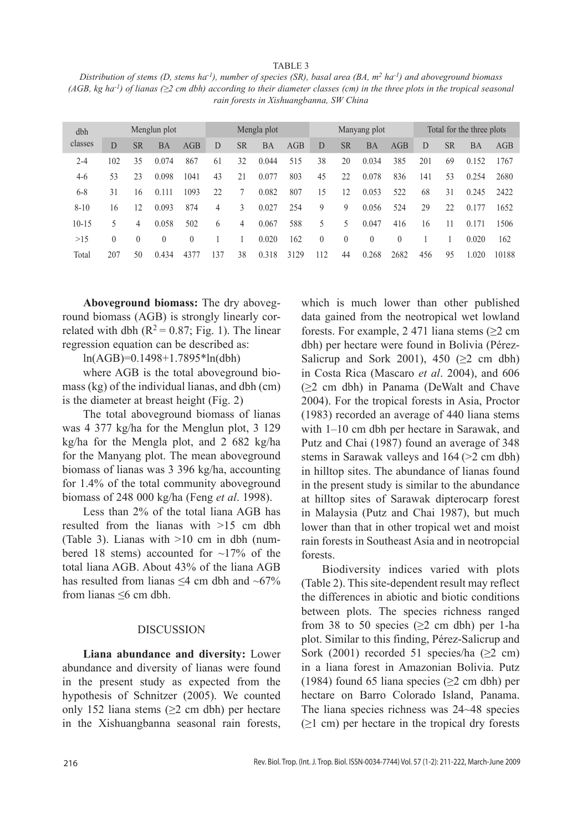#### TABLE 3

*Distribution of stems (D, stems ha-1), number of species (SR), basal area (BA, m2 ha-1) and aboveground biomass (AGB, kg ha-1) of lianas (≥2 cm dbh) according to their diameter classes (cm) in the three plots in the tropical seasonal rain forests in Xishuangbanna, SW China*

| dbh       |          |           | Menglun plot |          |     |                | Mengla plot |      |          |           | Manyang plot |          |     |           | Total for the three plots |       |
|-----------|----------|-----------|--------------|----------|-----|----------------|-------------|------|----------|-----------|--------------|----------|-----|-----------|---------------------------|-------|
| classes   | D        | <b>SR</b> | BA           | AGB      | D   | <b>SR</b>      | <b>BA</b>   | AGB  | D        | <b>SR</b> | <b>BA</b>    | AGB      | D   | <b>SR</b> | <b>BA</b>                 | AGB   |
| $2 - 4$   | 102      | 35        | 0.074        | 867      | 61  | 32             | 0.044       | 515  | 38       | 20        | 0.034        | 385      | 201 | 69        | 0.152                     | 1767  |
| $4-6$     | 53       | 23        | 0.098        | 1041     | 43  | 21             | 0.077       | 803  | 45       | 22        | 0.078        | 836      | 141 | 53        | 0.254                     | 2680  |
| $6 - 8$   | 31       | 16        | 0.111        | 1093     | 22  |                | 0.082       | 807  | 15       | 12        | 0.053        | 522      | 68  | 31        | 0.245                     | 2422  |
| $8 - 10$  | 16       | 12        | 0.093        | 874      | 4   | 3              | 0.027       | 254  | 9        | 9         | 0.056        | 524      | 29  | 22        | 0.177                     | 1652  |
| $10 - 15$ | 5        | 4         | 0.058        | 502      | 6   | $\overline{4}$ | 0.067       | 588  | 5        | 5         | 0.047        | 416      | 16  | 11        | 0.171                     | 1506  |
| >15       | $\left($ | $\theta$  | $\theta$     | $\left($ |     |                | 0.020       | 162  | $\theta$ | $\theta$  | $\theta$     | $\theta$ |     |           | 0.020                     | 162   |
| Total     | 207      | 50        | 0.434        | 4377     | 137 | 38             | 0.318       | 3129 | 112      | 44        | 0.268        | 2682     | 456 | 95        | 1 020                     | 10188 |

**Aboveground biomass:** The dry aboveground biomass (AGB) is strongly linearly correlated with dbh ( $R^2 = 0.87$ ; Fig. 1). The linear regression equation can be described as:

ln(AGB)=0.1498+1.7895\*ln(dbh)

where AGB is the total aboveground biomass (kg) of the individual lianas, and dbh (cm) is the diameter at breast height (Fig. 2)

The total aboveground biomass of lianas was 4 377 kg/ha for the Menglun plot, 3 129 kg/ha for the Mengla plot, and 2 682 kg/ha for the Manyang plot. The mean aboveground biomass of lianas was 3 396 kg/ha, accounting for 1.4% of the total community aboveground biomass of 248 000 kg/ha (Feng *et al*. 1998).

Less than 2% of the total liana AGB has resulted from the lianas with >15 cm dbh (Table 3). Lianas with >10 cm in dbh (numbered 18 stems) accounted for  $\sim$ 17% of the total liana AGB. About 43% of the liana AGB has resulted from lianas  $\leq 4$  cm dbh and  $\sim 67\%$ from lianas ≤6 cm dbh.

#### DISCUSSION

**Liana abundance and diversity:** Lower abundance and diversity of lianas were found in the present study as expected from the hypothesis of Schnitzer (2005). We counted only 152 liana stems  $(\geq 2$  cm dbh) per hectare in the Xishuangbanna seasonal rain forests, which is much lower than other published data gained from the neotropical wet lowland forests. For example, 2 471 liana stems ( $\geq$ 2 cm dbh) per hectare were found in Bolivia (Pérez-Salicrup and Sork 2001), 450 ( $\geq$ 2 cm dbh) in Costa Rica (Mascaro *et al*. 2004), and 606 (≥2 cm dbh) in Panama (DeWalt and Chave 2004). For the tropical forests in Asia, Proctor (1983) recorded an average of 440 liana stems with 1–10 cm dbh per hectare in Sarawak, and Putz and Chai (1987) found an average of 348 stems in Sarawak valleys and 164 (>2 cm dbh) in hilltop sites. The abundance of lianas found in the present study is similar to the abundance at hilltop sites of Sarawak dipterocarp forest in Malaysia (Putz and Chai 1987), but much lower than that in other tropical wet and moist rain forests in Southeast Asia and in neotropcial forests.

Biodiversity indices varied with plots (Table 2). This site-dependent result may reflect the differences in abiotic and biotic conditions between plots. The species richness ranged from 38 to 50 species ( $\geq$ 2 cm dbh) per 1-ha plot. Similar to this finding, Pérez-Salicrup and Sork (2001) recorded 51 species/ha ( $\geq$ 2 cm) in a liana forest in Amazonian Bolivia. Putz (1984) found 65 liana species ( $\geq$ 2 cm dbh) per hectare on Barro Colorado Island, Panama. The liana species richness was 24~48 species  $(\geq 1$  cm) per hectare in the tropical dry forests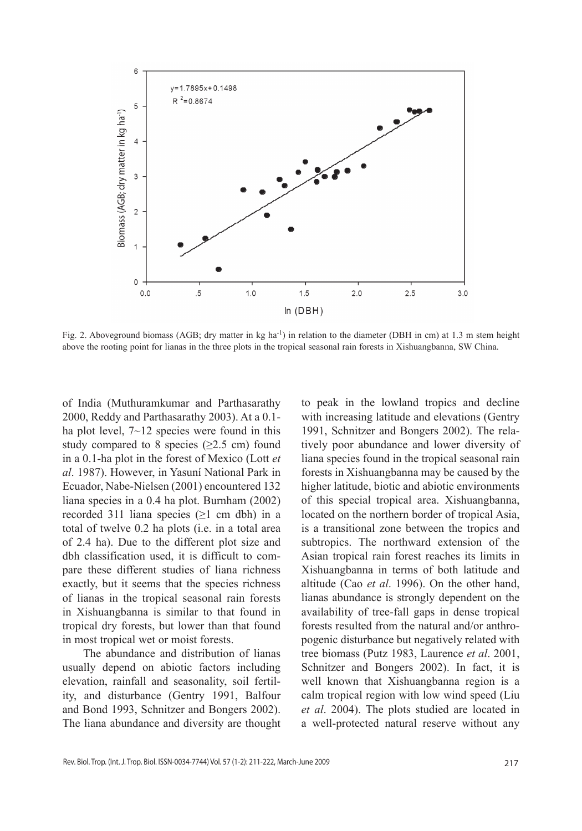

Fig. 2. Aboveground biomass (AGB; dry matter in kg ha<sup>-1</sup>) in relation to the diameter (DBH in cm) at 1.3 m stem height above the rooting point for lianas in the three plots in the tropical seasonal rain forests in Xishuangbanna, SW China.

of India (Muthuramkumar and Parthasarathy 2000, Reddy and Parthasarathy 2003). At a 0.1 ha plot level,  $7 \sim 12$  species were found in this study compared to 8 species ( $\geq$ 2.5 cm) found in a 0.1-ha plot in the forest of Mexico (Lott *et al*. 1987). However, in Yasuní National Park in Ecuador, Nabe-Nielsen (2001) encountered 132 liana species in a 0.4 ha plot. Burnham (2002) recorded 311 liana species  $(\geq 1$  cm dbh) in a total of twelve 0.2 ha plots (i.e. in a total area of 2.4 ha). Due to the different plot size and dbh classification used, it is difficult to compare these different studies of liana richness exactly, but it seems that the species richness of lianas in the tropical seasonal rain forests in Xishuangbanna is similar to that found in tropical dry forests, but lower than that found in most tropical wet or moist forests.

The abundance and distribution of lianas usually depend on abiotic factors including elevation, rainfall and seasonality, soil fertility, and disturbance (Gentry 1991, Balfour and Bond 1993, Schnitzer and Bongers 2002). The liana abundance and diversity are thought

to peak in the lowland tropics and decline with increasing latitude and elevations (Gentry 1991, Schnitzer and Bongers 2002). The relatively poor abundance and lower diversity of liana species found in the tropical seasonal rain forests in Xishuangbanna may be caused by the higher latitude, biotic and abiotic environments of this special tropical area. Xishuangbanna, located on the northern border of tropical Asia, is a transitional zone between the tropics and subtropics. The northward extension of the Asian tropical rain forest reaches its limits in Xishuangbanna in terms of both latitude and altitude (Cao *et al*. 1996). On the other hand, lianas abundance is strongly dependent on the availability of tree-fall gaps in dense tropical forests resulted from the natural and/or anthropogenic disturbance but negatively related with tree biomass (Putz 1983, Laurence *et al*. 2001, Schnitzer and Bongers 2002). In fact, it is well known that Xishuangbanna region is a calm tropical region with low wind speed (Liu *et al*. 2004). The plots studied are located in a well-protected natural reserve without any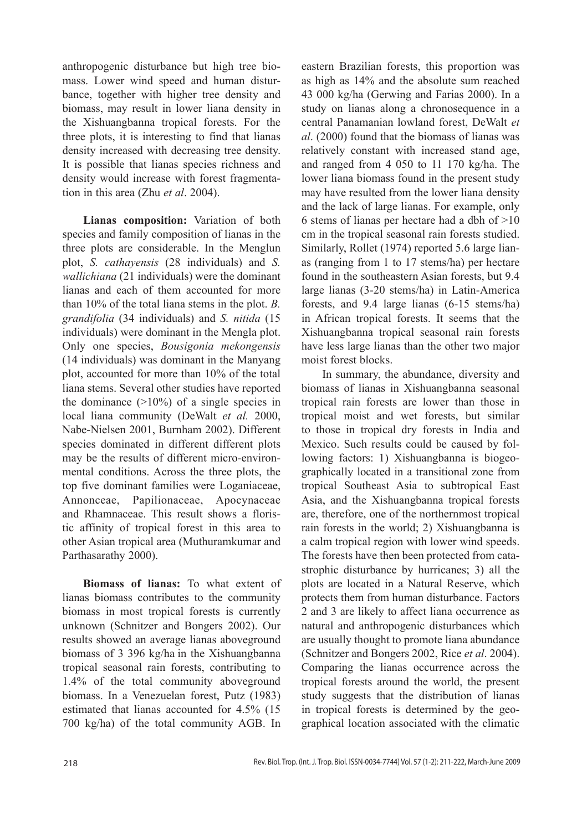anthropogenic disturbance but high tree biomass. Lower wind speed and human disturbance, together with higher tree density and biomass, may result in lower liana density in the Xishuangbanna tropical forests. For the three plots, it is interesting to find that lianas density increased with decreasing tree density. It is possible that lianas species richness and density would increase with forest fragmentation in this area (Zhu *et al*. 2004).

**Lianas composition:** Variation of both species and family composition of lianas in the three plots are considerable. In the Menglun plot, *S. cathayensis* (28 individuals) and *S. wallichiana* (21 individuals) were the dominant lianas and each of them accounted for more than 10% of the total liana stems in the plot. *B. grandifolia* (34 individuals) and *S. nitida* (15 individuals) were dominant in the Mengla plot. Only one species, *Bousigonia mekongensis* (14 individuals) was dominant in the Manyang plot, accounted for more than 10% of the total liana stems. Several other studies have reported the dominance  $(>10\%)$  of a single species in local liana community (DeWalt *et al.* 2000, Nabe-Nielsen 2001, Burnham 2002). Different species dominated in different different plots may be the results of different micro-environmental conditions. Across the three plots, the top five dominant families were Loganiaceae, Annonceae, Papilionaceae, Apocynaceae and Rhamnaceae. This result shows a floristic affinity of tropical forest in this area to other Asian tropical area (Muthuramkumar and Parthasarathy 2000).

**Biomass of lianas:** To what extent of lianas biomass contributes to the community biomass in most tropical forests is currently unknown (Schnitzer and Bongers 2002). Our results showed an average lianas aboveground biomass of 3 396 kg/ha in the Xishuangbanna tropical seasonal rain forests, contributing to 1.4% of the total community aboveground biomass. In a Venezuelan forest, Putz (1983) estimated that lianas accounted for 4.5% (15 700 kg/ha) of the total community AGB. In

eastern Brazilian forests, this proportion was as high as 14% and the absolute sum reached 43 000 kg/ha (Gerwing and Farias 2000). In a study on lianas along a chronosequence in a central Panamanian lowland forest, DeWalt *et al*. (2000) found that the biomass of lianas was relatively constant with increased stand age, and ranged from 4 050 to 11 170 kg/ha. The lower liana biomass found in the present study may have resulted from the lower liana density and the lack of large lianas. For example, only 6 stems of lianas per hectare had a dbh of  $>10$ cm in the tropical seasonal rain forests studied. Similarly, Rollet (1974) reported 5.6 large lianas (ranging from 1 to 17 stems/ha) per hectare found in the southeastern Asian forests, but 9.4 large lianas (3-20 stems/ha) in Latin-America forests, and 9.4 large lianas (6-15 stems/ha) in African tropical forests. It seems that the Xishuangbanna tropical seasonal rain forests have less large lianas than the other two major moist forest blocks.

In summary, the abundance, diversity and biomass of lianas in Xishuangbanna seasonal tropical rain forests are lower than those in tropical moist and wet forests, but similar to those in tropical dry forests in India and Mexico. Such results could be caused by following factors: 1) Xishuangbanna is biogeographically located in a transitional zone from tropical Southeast Asia to subtropical East Asia, and the Xishuangbanna tropical forests are, therefore, one of the northernmost tropical rain forests in the world; 2) Xishuangbanna is a calm tropical region with lower wind speeds. The forests have then been protected from catastrophic disturbance by hurricanes; 3) all the plots are located in a Natural Reserve, which protects them from human disturbance. Factors 2 and 3 are likely to affect liana occurrence as natural and anthropogenic disturbances which are usually thought to promote liana abundance (Schnitzer and Bongers 2002, Rice *et al*. 2004). Comparing the lianas occurrence across the tropical forests around the world, the present study suggests that the distribution of lianas in tropical forests is determined by the geographical location associated with the climatic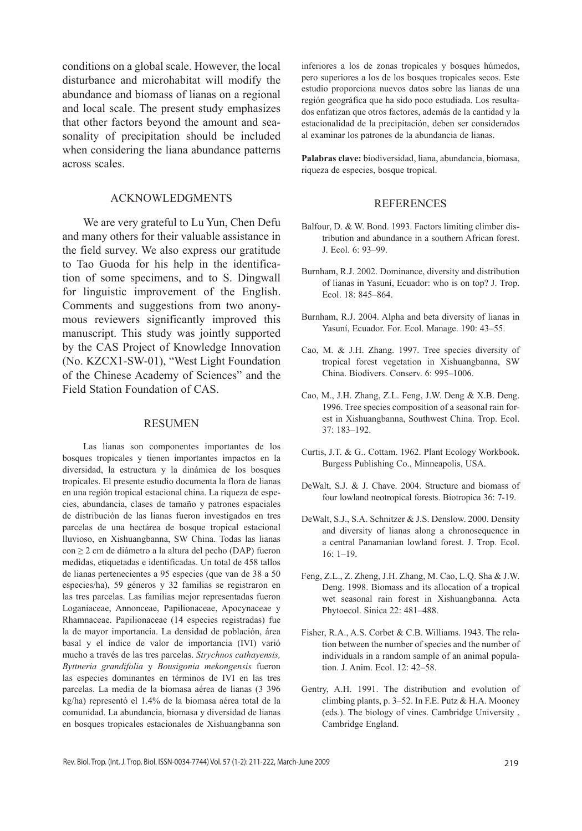conditions on a global scale. However, the local disturbance and microhabitat will modify the abundance and biomass of lianas on a regional and local scale. The present study emphasizes that other factors beyond the amount and seasonality of precipitation should be included when considering the liana abundance patterns across scales.

#### ACKNOWLEDGMENTS

We are very grateful to Lu Yun, Chen Defu and many others for their valuable assistance in the field survey. We also express our gratitude to Tao Guoda for his help in the identification of some specimens, and to S. Dingwall for linguistic improvement of the English. Comments and suggestions from two anonymous reviewers significantly improved this manuscript. This study was jointly supported by the CAS Project of Knowledge Innovation (No. KZCX1-SW-01), "West Light Foundation of the Chinese Academy of Sciences" and the Field Station Foundation of CAS.

#### Resumen

Las lianas son componentes importantes de los bosques tropicales y tienen importantes impactos en la diversidad, la estructura y la dinámica de los bosques tropicales. El presente estudio documenta la flora de lianas en una región tropical estacional china. La riqueza de especies, abundancia, clases de tamaño y patrones espaciales de distribución de las lianas fueron investigados en tres parcelas de una hectárea de bosque tropical estacional lluvioso, en Xishuangbanna, SW China. Todas las lianas con ≥ 2 cm de diámetro a la altura del pecho (DAP) fueron medidas, etiquetadas e identificadas. Un total de 458 tallos de lianas pertenecientes a 95 especies (que van de 38 a 50 especies/ha), 59 géneros y 32 familias se registraron en las tres parcelas. Las familias mejor representadas fueron Loganiaceae, Annonceae, Papilionaceae, Apocynaceae y Rhamnaceae. Papilionaceae (14 especies registradas) fue la de mayor importancia. La densidad de población, área basal y el índice de valor de importancia (IVI) varió mucho a través de las tres parcelas. *Strychnos cathayensis, Byttneria grandifolia* y *Bousigonia mekongensis* fueron las especies dominantes en términos de IVI en las tres parcelas. La media de la biomasa aérea de lianas (3 396 kg/ha) representó el 1.4% de la biomasa aérea total de la comunidad. La abundancia, biomasa y diversidad de lianas en bosques tropicales estacionales de Xishuangbanna son

inferiores a los de zonas tropicales y bosques húmedos, pero superiores a los de los bosques tropicales secos. Este estudio proporciona nuevos datos sobre las lianas de una región geográfica que ha sido poco estudiada. Los resultados enfatizan que otros factores, además de la cantidad y la estacionalidad de la precipitación, deben ser considerados al examinar los patrones de la abundancia de lianas.

**Palabras clave:** biodiversidad, liana, abundancia, biomasa, riqueza de especies, bosque tropical.

#### REFERENCES

- Balfour, D. & W. Bond. 1993. Factors limiting climber distribution and abundance in a southern African forest. J. Ecol. 6: 93–99.
- Burnham, R.J. 2002. Dominance, diversity and distribution of lianas in Yasuní, Ecuador: who is on top? J. Trop. Ecol. 18: 845–864.
- Burnham, R.J. 2004. Alpha and beta diversity of lianas in Yasuní, Ecuador. For. Ecol. Manage. 190: 43–55.
- Cao, M. & J.H. Zhang. 1997. Tree species diversity of tropical forest vegetation in Xishuangbanna, SW China. Biodivers. Conserv. 6: 995–1006.
- Cao, M., J.H. Zhang, Z.L. Feng, J.W. Deng & X.B. Deng. 1996. Tree species composition of a seasonal rain forest in Xishuangbanna, Southwest China. Trop. Ecol. 37: 183–192.
- Curtis, J.T. & G.. Cottam. 1962. Plant Ecology Workbook. Burgess Publishing Co., Minneapolis, USA.
- DeWalt, S.J. & J. Chave. 2004. Structure and biomass of four lowland neotropical forests. Biotropica 36: 7-19.
- DeWalt, S.J., S.A. Schnitzer & J.S. Denslow. 2000. Density and diversity of lianas along a chronosequence in a central Panamanian lowland forest. J. Trop. Ecol. 16: 1–19.
- Feng, Z.L., Z. Zheng, J.H. Zhang, M. Cao, L.Q. Sha & J.W. Deng. 1998. Biomass and its allocation of a tropical wet seasonal rain forest in Xishuangbanna. Acta Phytoecol. Sinica 22: 481–488.
- Fisher, R.A., A.S. Corbet & C.B. Williams. 1943. The relation between the number of species and the number of individuals in a random sample of an animal population. J. Anim. Ecol. 12: 42–58.
- Gentry, A.H. 1991. The distribution and evolution of climbing plants, p. 3–52. In F.E. Putz & H.A. Mooney (eds.). The biology of vines. Cambridge University , Cambridge England.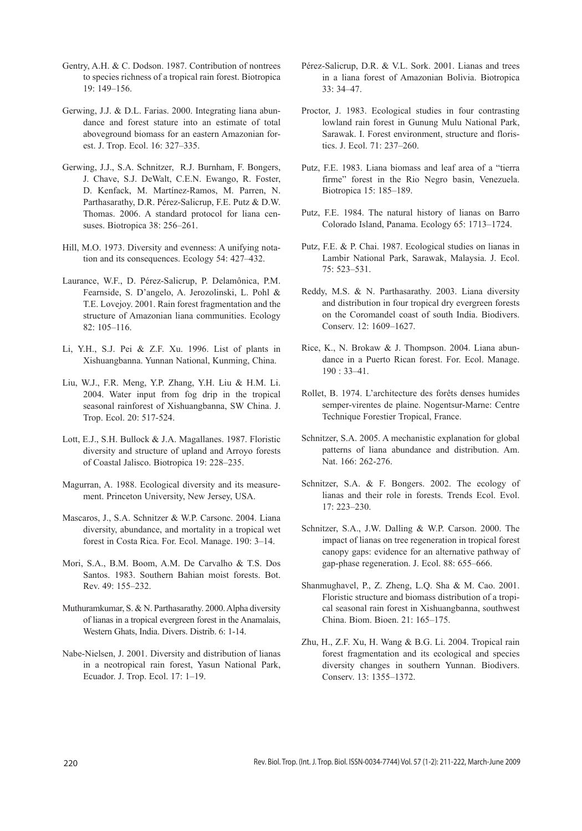- Gentry, A.H. & C. Dodson. 1987. Contribution of nontrees to species richness of a tropical rain forest. Biotropica 19: 149–156.
- Gerwing, J.J. & D.L. Farias. 2000. Integrating liana abundance and forest stature into an estimate of total aboveground biomass for an eastern Amazonian forest. J. Trop. Ecol. 16: 327–335.
- Gerwing, J.J., S.A. Schnitzer, R.J. Burnham, F. Bongers, J. Chave, S.J. DeWalt, C.E.N. Ewango, R. Foster, D. Kenfack, M. Martínez-Ramos, M. Parren, N. Parthasarathy, D.R. Pérez-Salicrup, F.E. Putz & D.W. Thomas. 2006. A standard protocol for liana censuses. Biotropica 38: 256–261.
- Hill, M.O. 1973. Diversity and evenness: A unifying notation and its consequences. Ecology 54: 427–432.
- Laurance, W.F., D. Pérez-Salicrup, P. Delamônica, P.M. Fearnside, S. D'angelo, A. Jerozolinski, L. Pohl & T.E. Lovejoy. 2001. Rain forest fragmentation and the structure of Amazonian liana communities. Ecology 82: 105–116.
- Li, Y.H., S.J. Pei & Z.F. Xu. 1996. List of plants in Xishuangbanna. Yunnan National, Kunming, China.
- Liu, W.J., F.R. Meng, Y.P. Zhang, Y.H. Liu & H.M. Li. 2004. Water input from fog drip in the tropical seasonal rainforest of Xishuangbanna, SW China. J. Trop. Ecol. 20: 517-524.
- Lott, E.J., S.H. Bullock & J.A. Magallanes. 1987. Floristic diversity and structure of upland and Arroyo forests of Coastal Jalisco. Biotropica 19: 228–235.
- Magurran, A. 1988. Ecological diversity and its measurement. Princeton University, New Jersey, USA.
- Mascaros, J., S.A. Schnitzer & W.P. Carsonc. 2004. Liana diversity, abundance, and mortality in a tropical wet forest in Costa Rica. For. Ecol. Manage. 190: 3–14.
- Mori, S.A., B.M. Boom, A.M. De Carvalho & T.S. Dos Santos. 1983. Southern Bahian moist forests. Bot. Rev. 49: 155–232.
- Muthuramkumar, S. & N. Parthasarathy. 2000. Alpha diversity of lianas in a tropical evergreen forest in the Anamalais, Western Ghats, India. Divers. Distrib. 6: 1-14.
- Nabe-Nielsen, J. 2001. Diversity and distribution of lianas in a neotropical rain forest, Yasun National Park, Ecuador. J. Trop. Ecol. 17: 1–19.
- Pérez-Salicrup, D.R. & V.L. Sork. 2001. Lianas and trees in a liana forest of Amazonian Bolivia. Biotropica 33: 34–47.
- Proctor, J. 1983. Ecological studies in four contrasting lowland rain forest in Gunung Mulu National Park, Sarawak. I. Forest environment, structure and floristics. J. Ecol. 71: 237–260.
- Putz, F.E. 1983. Liana biomass and leaf area of a "tierra firme" forest in the Rio Negro basin, Venezuela. Biotropica 15: 185–189.
- Putz, F.E. 1984. The natural history of lianas on Barro Colorado Island, Panama. Ecology 65: 1713–1724.
- Putz, F.E. & P. Chai. 1987. Ecological studies on lianas in Lambir National Park, Sarawak, Malaysia. J. Ecol. 75: 523–531.
- Reddy, M.S. & N. Parthasarathy. 2003. Liana diversity and distribution in four tropical dry evergreen forests on the Coromandel coast of south India. Biodivers. Conserv. 12: 1609–1627.
- Rice, K., N. Brokaw & J. Thompson. 2004. Liana abundance in a Puerto Rican forest. For. Ecol. Manage. 190 : 33–41.
- Rollet, B. 1974. L'architecture des forêts denses humides semper-virentes de plaine. Nogentsur-Marne: Centre Technique Forestier Tropical, France.
- Schnitzer, S.A. 2005. A mechanistic explanation for global patterns of liana abundance and distribution. Am. Nat. 166: 262-276.
- Schnitzer, S.A. & F. Bongers. 2002. The ecology of lianas and their role in forests. Trends Ecol. Evol. 17: 223–230.
- Schnitzer, S.A., J.W. Dalling & W.P. Carson. 2000. The impact of lianas on tree regeneration in tropical forest canopy gaps: evidence for an alternative pathway of gap-phase regeneration. J. Ecol. 88: 655–666.
- Shanmughavel, P., Z. Zheng, L.Q. Sha & M. Cao. 2001. Floristic structure and biomass distribution of a tropical seasonal rain forest in Xishuangbanna, southwest China. Biom. Bioen. 21: 165–175.
- Zhu, H., Z.F. Xu, H. Wang & B.G. Li. 2004. Tropical rain forest fragmentation and its ecological and species diversity changes in southern Yunnan. Biodivers. Conserv. 13: 1355–1372.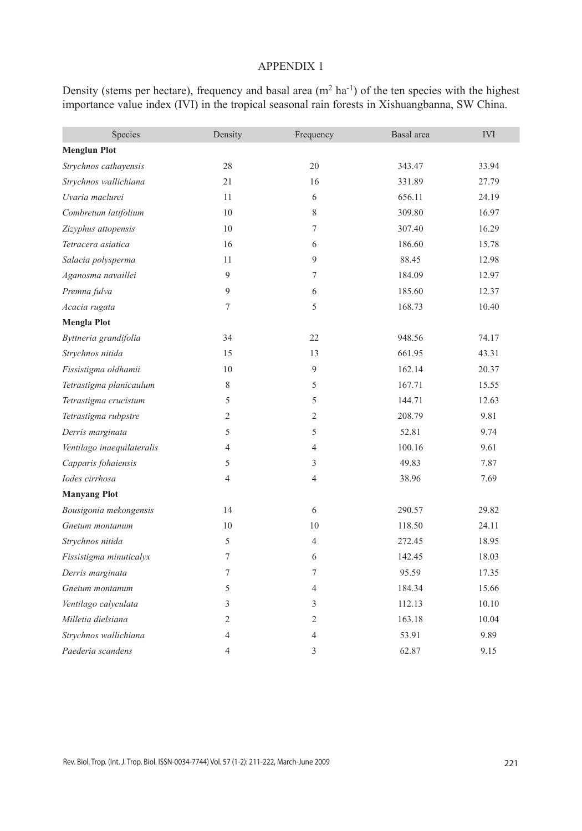### Appendix 1

Density (stems per hectare), frequency and basal area  $(m^2 \text{ ha}^{-1})$  of the ten species with the highest importance value index (IVI) in the tropical seasonal rain forests in Xishuangbanna, SW China.

| Species                    | Density        | Frequency      | Basal area | $\rm IVI$ |
|----------------------------|----------------|----------------|------------|-----------|
| <b>Menglun Plot</b>        |                |                |            |           |
| Strychnos cathayensis      | 28             | 20             | 343.47     | 33.94     |
| Strychnos wallichiana      | 21             | 16             | 331.89     | 27.79     |
| Uvaria maclurei            | 11             | 6              | 656.11     | 24.19     |
| Combretum latifolium       | 10             | 8              | 309.80     | 16.97     |
| Zizyphus attopensis        | 10             | $\tau$         | 307.40     | 16.29     |
| Tetracera asiatica         | 16             | 6              | 186.60     | 15.78     |
| Salacia polysperma         | 11             | 9              | 88.45      | 12.98     |
| Aganosma navaillei         | 9              | $\tau$         | 184.09     | 12.97     |
| Premna fulva               | 9              | 6              | 185.60     | 12.37     |
| Acacia rugata              | $\overline{7}$ | 5              | 168.73     | 10.40     |
| <b>Mengla Plot</b>         |                |                |            |           |
| Byttneria grandifolia      | 34             | 22             | 948.56     | 74.17     |
| Strychnos nitida           | 15             | 13             | 661.95     | 43.31     |
| Fissistigma oldhamii       | 10             | 9              | 162.14     | 20.37     |
| Tetrastigma planicaulum    | 8              | 5              | 167.71     | 15.55     |
| Tetrastigma crucistum      | 5              | 5              | 144.71     | 12.63     |
| Tetrastigma rubpstre       | 2              | 2              | 208.79     | 9.81      |
| Derris marginata           | 5              | 5              | 52.81      | 9.74      |
| Ventilago inaequilateralis | 4              | $\overline{4}$ | 100.16     | 9.61      |
| Capparis fohaiensis        | 5              | 3              | 49.83      | 7.87      |
| Iodes cirrhosa             | 4              | $\overline{4}$ | 38.96      | 7.69      |
| <b>Manyang Plot</b>        |                |                |            |           |
| Bousigonia mekongensis     | 14             | 6              | 290.57     | 29.82     |
| Gnetum montanum            | 10             | 10             | 118.50     | 24.11     |
| Strychnos nitida           | 5              | $\overline{4}$ | 272.45     | 18.95     |
| Fissistigma minuticalyx    | 7              | 6              | 142.45     | 18.03     |
| Derris marginata           | 7              | 7              | 95.59      | 17.35     |
| Gnetum montanum            | 5              | $\overline{4}$ | 184.34     | 15.66     |
| Ventilago calyculata       | 3              | 3              | 112.13     | 10.10     |
| Milletia dielsiana         | $\overline{2}$ | $\mathfrak{2}$ | 163.18     | 10.04     |
| Strychnos wallichiana      | 4              | $\overline{4}$ | 53.91      | 9.89      |
| Paederia scandens          | 4              | 3              | 62.87      | 9.15      |